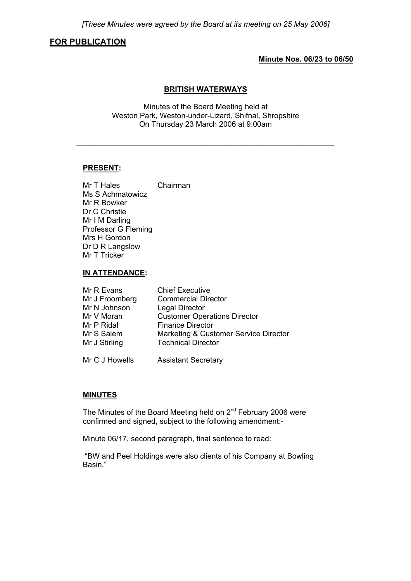# **FOR PUBLICATION**

## **Minute Nos. 06/23 to 06/50**

# **BRITISH WATERWAYS**

Minutes of the Board Meeting held at Weston Park, Weston-under-Lizard, Shifnal, Shropshire On Thursday 23 March 2006 at 9.00am

\_\_\_\_\_\_\_\_\_\_\_\_\_\_\_\_\_\_\_\_\_\_\_\_\_\_\_\_\_\_\_\_\_\_\_\_\_\_\_\_\_\_\_\_\_\_\_\_\_\_\_\_\_\_\_\_\_\_\_\_\_

## **PRESENT:**

Mr T Hales Chairman Ms S Achmatowicz Mr R Bowker Dr C Christie Mr I M Darling Professor G Fleming Mrs H Gordon Dr D R Langslow Mr T Tricker

## **IN ATTENDANCE:**

| Mr R Evans     | <b>Chief Executive</b>                |
|----------------|---------------------------------------|
| Mr J Froomberg | <b>Commercial Director</b>            |
| Mr N Johnson   | <b>Legal Director</b>                 |
| Mr V Moran     | <b>Customer Operations Director</b>   |
| Mr P Ridal     | <b>Finance Director</b>               |
| Mr S Salem     | Marketing & Customer Service Director |
| Mr J Stirling  | <b>Technical Director</b>             |
|                |                                       |
| Mr C J Howells | <b>Assistant Secretary</b>            |

## **MINUTES**

The Minutes of the Board Meeting held on 2<sup>nd</sup> February 2006 were confirmed and signed, subject to the following amendment:-

Minute 06/17, second paragraph, final sentence to read:

 "BW and Peel Holdings were also clients of his Company at Bowling Basin."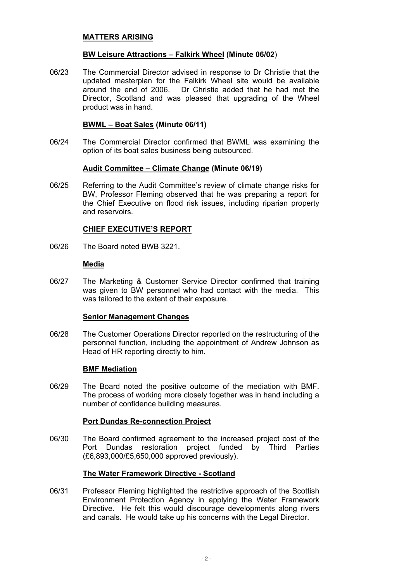# **MATTERS ARISING**

# **BW Leisure Attractions – Falkirk Wheel (Minute 06/02**)

06/23 The Commercial Director advised in response to Dr Christie that the updated masterplan for the Falkirk Wheel site would be available around the end of 2006. Dr Christie added that he had met the Director, Scotland and was pleased that upgrading of the Wheel product was in hand.

## **BWML – Boat Sales (Minute 06/11)**

06/24 The Commercial Director confirmed that BWML was examining the option of its boat sales business being outsourced.

# **Audit Committee – Climate Change (Minute 06/19)**

06/25 Referring to the Audit Committee's review of climate change risks for BW, Professor Fleming observed that he was preparing a report for the Chief Executive on flood risk issues, including riparian property and reservoirs.

# **CHIEF EXECUTIVE'S REPORT**

06/26 The Board noted BWB 3221.

# **Media**

06/27 The Marketing & Customer Service Director confirmed that training was given to BW personnel who had contact with the media. This was tailored to the extent of their exposure.

## **Senior Management Changes**

06/28 The Customer Operations Director reported on the restructuring of the personnel function, including the appointment of Andrew Johnson as Head of HR reporting directly to him.

## **BMF Mediation**

06/29 The Board noted the positive outcome of the mediation with BMF. The process of working more closely together was in hand including a number of confidence building measures.

## **Port Dundas Re-connection Project**

06/30 The Board confirmed agreement to the increased project cost of the Port Dundas restoration project funded by Third Parties (£6,893,000/£5,650,000 approved previously).

# **The Water Framework Directive - Scotland**

06/31 Professor Fleming highlighted the restrictive approach of the Scottish Environment Protection Agency in applying the Water Framework Directive. He felt this would discourage developments along rivers and canals. He would take up his concerns with the Legal Director.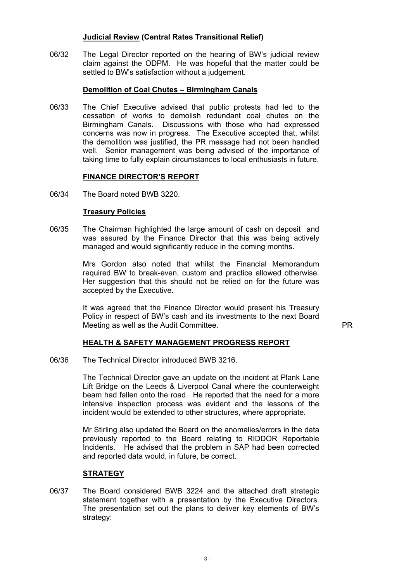# **Judicial Review (Central Rates Transitional Relief)**

06/32 The Legal Director reported on the hearing of BW's judicial review claim against the ODPM. He was hopeful that the matter could be settled to BW's satisfaction without a judgement.

# **Demolition of Coal Chutes – Birmingham Canals**

06/33 The Chief Executive advised that public protests had led to the cessation of works to demolish redundant coal chutes on the Birmingham Canals. Discussions with those who had expressed concerns was now in progress. The Executive accepted that, whilst the demolition was justified, the PR message had not been handled well. Senior management was being advised of the importance of taking time to fully explain circumstances to local enthusiasts in future.

## **FINANCE DIRECTOR'S REPORT**

06/34 The Board noted BWB 3220.

# **Treasury Policies**

06/35 The Chairman highlighted the large amount of cash on deposit and was assured by the Finance Director that this was being actively managed and would significantly reduce in the coming months.

> Mrs Gordon also noted that whilst the Financial Memorandum required BW to break-even, custom and practice allowed otherwise. Her suggestion that this should not be relied on for the future was accepted by the Executive.

 It was agreed that the Finance Director would present his Treasury Policy in respect of BW's cash and its investments to the next Board Meeting as well as the Audit Committee.

# **HEALTH & SAFETY MANAGEMENT PROGRESS REPORT**

06/36 The Technical Director introduced BWB 3216.

 The Technical Director gave an update on the incident at Plank Lane Lift Bridge on the Leeds & Liverpool Canal where the counterweight beam had fallen onto the road. He reported that the need for a more intensive inspection process was evident and the lessons of the incident would be extended to other structures, where appropriate.

 Mr Stirling also updated the Board on the anomalies/errors in the data previously reported to the Board relating to RIDDOR Reportable Incidents. He advised that the problem in SAP had been corrected and reported data would, in future, be correct.

# **STRATEGY**

06/37 The Board considered BWB 3224 and the attached draft strategic statement together with a presentation by the Executive Directors. The presentation set out the plans to deliver key elements of BW's strategy: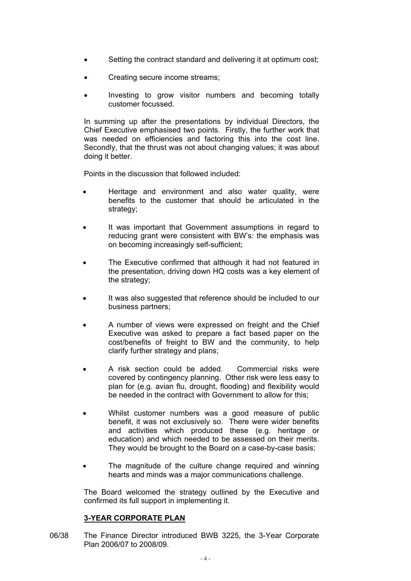- Setting the contract standard and delivering it at optimum cost;
- Creating secure income streams;
- Investing to grow visitor numbers and becoming totally customer focussed.

 In summing up after the presentations by individual Directors, the Chief Executive emphasised two points. Firstly, the further work that was needed on efficiencies and factoring this into the cost line. Secondly, that the thrust was not about changing values; it was about doing it better.

Points in the discussion that followed included:

- Heritage and environment and also water quality, were benefits to the customer that should be articulated in the strategy:
- It was important that Government assumptions in regard to reducing grant were consistent with BW's: the emphasis was on becoming increasingly self-sufficient;
- The Executive confirmed that although it had not featured in the presentation, driving down HQ costs was a key element of the strategy;
- It was also suggested that reference should be included to our business partners;
- A number of views were expressed on freight and the Chief Executive was asked to prepare a fact based paper on the cost/benefits of freight to BW and the community, to help clarify further strategy and plans;
- A risk section could be added. Commercial risks were covered by contingency planning. Other risk were less easy to plan for (e.g. avian flu, drought, flooding) and flexibility would be needed in the contract with Government to allow for this;
- Whilst customer numbers was a good measure of public benefit, it was not exclusively so. There were wider benefits and activities which produced these (e.g. heritage or education) and which needed to be assessed on their merits. They would be brought to the Board on a case-by-case basis;
- The magnitude of the culture change required and winning hearts and minds was a major communications challenge.

 The Board welcomed the strategy outlined by the Executive and confirmed its full support in implementing it.

# **3-YEAR CORPORATE PLAN**

06/38 The Finance Director introduced BWB 3225, the 3-Year Corporate Plan 2006/07 to 2008/09.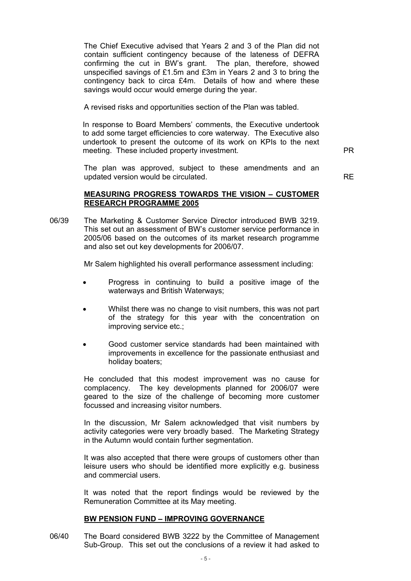The Chief Executive advised that Years 2 and 3 of the Plan did not contain sufficient contingency because of the lateness of DEFRA confirming the cut in BW's grant. The plan, therefore, showed unspecified savings of £1.5m and £3m in Years 2 and 3 to bring the contingency back to circa £4m. Details of how and where these savings would occur would emerge during the year.

A revised risks and opportunities section of the Plan was tabled.

 In response to Board Members' comments, the Executive undertook to add some target efficiencies to core waterway. The Executive also undertook to present the outcome of its work on KPIs to the next meeting. These included property investment.

 The plan was approved, subject to these amendments and an updated version would be circulated. RE

# **MEASURING PROGRESS TOWARDS THE VISION – CUSTOMER RESEARCH PROGRAMME 2005**

06/39 The Marketing & Customer Service Director introduced BWB 3219. This set out an assessment of BW's customer service performance in 2005/06 based on the outcomes of its market research programme and also set out key developments for 2006/07.

Mr Salem highlighted his overall performance assessment including:

- Progress in continuing to build a positive image of the waterways and British Waterways;
- Whilst there was no change to visit numbers, this was not part of the strategy for this year with the concentration on improving service etc.;
- Good customer service standards had been maintained with improvements in excellence for the passionate enthusiast and holiday boaters;

 He concluded that this modest improvement was no cause for complacency. The key developments planned for 2006/07 were geared to the size of the challenge of becoming more customer focussed and increasing visitor numbers.

 In the discussion, Mr Salem acknowledged that visit numbers by activity categories were very broadly based. The Marketing Strategy in the Autumn would contain further segmentation.

 It was also accepted that there were groups of customers other than leisure users who should be identified more explicitly e.g. business and commercial users.

 It was noted that the report findings would be reviewed by the Remuneration Committee at its May meeting.

## **BW PENSION FUND – IMPROVING GOVERNANCE**

06/40 The Board considered BWB 3222 by the Committee of Management Sub-Group. This set out the conclusions of a review it had asked to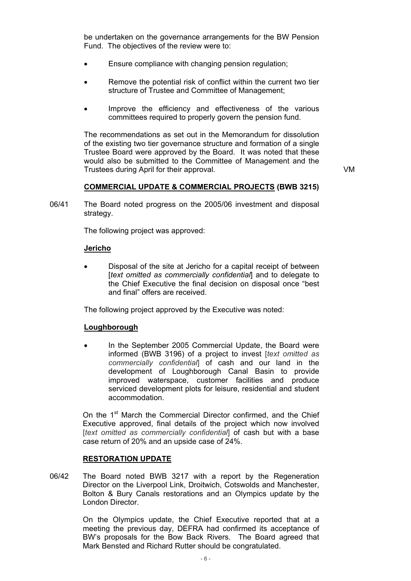be undertaken on the governance arrangements for the BW Pension Fund. The objectives of the review were to:

- Ensure compliance with changing pension regulation;
- Remove the potential risk of conflict within the current two tier structure of Trustee and Committee of Management;
- Improve the efficiency and effectiveness of the various committees required to properly govern the pension fund.

 The recommendations as set out in the Memorandum for dissolution of the existing two tier governance structure and formation of a single Trustee Board were approved by the Board. It was noted that these would also be submitted to the Committee of Management and the Trustees during April for their approval. VM

## **COMMERCIAL UPDATE & COMMERCIAL PROJECTS (BWB 3215)**

06/41 The Board noted progress on the 2005/06 investment and disposal strategy.

The following project was approved:

### **Jericho**

• Disposal of the site at Jericho for a capital receipt of between [*text omitted as commercially confidential*] and to delegate to the Chief Executive the final decision on disposal once "best and final" offers are received.

The following project approved by the Executive was noted:

### **Loughborough**

• In the September 2005 Commercial Update, the Board were informed (BWB 3196) of a project to invest [*text omitted as commercially confidential*] of cash and our land in the development of Loughborough Canal Basin to provide improved waterspace, customer facilities and produce serviced development plots for leisure, residential and student accommodation.

On the 1<sup>st</sup> March the Commercial Director confirmed, and the Chief Executive approved, final details of the project which now involved [*text omitted as commercially confidential*] of cash but with a base case return of 20% and an upside case of 24%.

### **RESTORATION UPDATE**

06/42 The Board noted BWB 3217 with a report by the Regeneration Director on the Liverpool Link, Droitwich, Cotswolds and Manchester, Bolton & Bury Canals restorations and an Olympics update by the London Director.

> On the Olympics update, the Chief Executive reported that at a meeting the previous day, DEFRA had confirmed its acceptance of BW's proposals for the Bow Back Rivers. The Board agreed that Mark Bensted and Richard Rutter should be congratulated.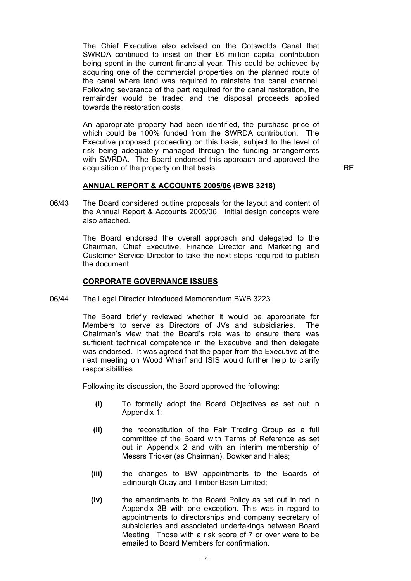The Chief Executive also advised on the Cotswolds Canal that SWRDA continued to insist on their £6 million capital contribution being spent in the current financial year. This could be achieved by acquiring one of the commercial properties on the planned route of the canal where land was required to reinstate the canal channel. Following severance of the part required for the canal restoration, the remainder would be traded and the disposal proceeds applied towards the restoration costs.

 An appropriate property had been identified, the purchase price of which could be 100% funded from the SWRDA contribution. The Executive proposed proceeding on this basis, subject to the level of risk being adequately managed through the funding arrangements with SWRDA. The Board endorsed this approach and approved the acquisition of the property on that basis. The state of the property on that basis.

### **ANNUAL REPORT & ACCOUNTS 2005/06 (BWB 3218)**

06/43 The Board considered outline proposals for the layout and content of the Annual Report & Accounts 2005/06. Initial design concepts were also attached.

> The Board endorsed the overall approach and delegated to the Chairman, Chief Executive, Finance Director and Marketing and Customer Service Director to take the next steps required to publish the document.

# **CORPORATE GOVERNANCE ISSUES**

06/44 The Legal Director introduced Memorandum BWB 3223.

 The Board briefly reviewed whether it would be appropriate for Members to serve as Directors of JVs and subsidiaries. The Chairman's view that the Board's role was to ensure there was sufficient technical competence in the Executive and then delegate was endorsed. It was agreed that the paper from the Executive at the next meeting on Wood Wharf and ISIS would further help to clarify responsibilities.

Following its discussion, the Board approved the following:

- **(i)** To formally adopt the Board Objectives as set out in Appendix 1;
- **(ii)** the reconstitution of the Fair Trading Group as a full committee of the Board with Terms of Reference as set out in Appendix 2 and with an interim membership of Messrs Tricker (as Chairman), Bowker and Hales;
- **(iii)** the changes to BW appointments to the Boards of Edinburgh Quay and Timber Basin Limited;
- **(iv)** the amendments to the Board Policy as set out in red in Appendix 3B with one exception. This was in regard to appointments to directorships and company secretary of subsidiaries and associated undertakings between Board Meeting. Those with a risk score of 7 or over were to be emailed to Board Members for confirmation.